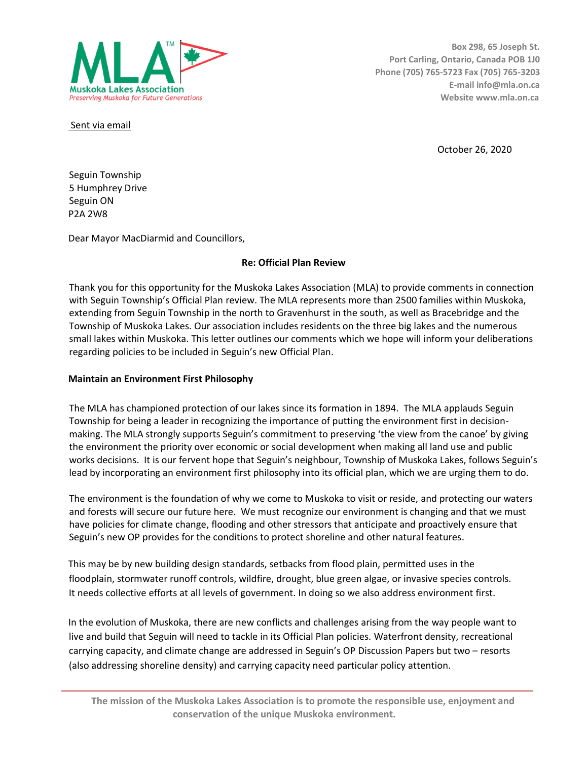

**Box 298, 65 Joseph St. Port Carling, Ontario, Canada POB 1J0 Phone (705) 765-5723 Fax (705) 765-3203 E-mail info@mla.on.ca Website www.mla.on.ca** 

Sent via email

October 26, 2020

Seguin Township 5 Humphrey Drive Seguin ON P2A 2W8

Dear Mayor MacDiarmid and Councillors,

## **Re: Official Plan Review**

Thank you for this opportunity for the Muskoka Lakes Association (MLA) to provide comments in connection with Seguin Township's Official Plan review. The MLA represents more than 2500 families within Muskoka, extending from Seguin Township in the north to Gravenhurst in the south, as well as Bracebridge and the Township of Muskoka Lakes. Our association includes residents on the three big lakes and the numerous small lakes within Muskoka. This letter outlines our comments which we hope will inform your deliberations regarding policies to be included in Seguin's new Official Plan.

### **Maintain an Environment First Philosophy**

The MLA has championed protection of our lakes since its formation in 1894. The MLA applauds Seguin Township for being a leader in recognizing the importance of putting the environment first in decisionmaking. The MLA strongly supports Seguin's commitment to preserving 'the view from the canoe' by giving the environment the priority over economic or social development when making all land use and public works decisions. It is our fervent hope that Seguin's neighbour, Township of Muskoka Lakes, follows Seguin's lead by incorporating an environment first philosophy into its official plan, which we are urging them to do.

The environment is the foundation of why we come to Muskoka to visit or reside, and protecting our waters and forests will secure our future here. We must recognize our environment is changing and that we must have policies for climate change, flooding and other stressors that anticipate and proactively ensure that Seguin's new OP provides for the conditions to protect shoreline and other natural features.

This may be by new building design standards, setbacks from flood plain, permitted uses in the floodplain, stormwater runoff controls, wildfire, drought, blue green algae, or invasive species controls. It needs collective efforts at all levels of government. In doing so we also address environment first.

In the evolution of Muskoka, there are new conflicts and challenges arising from the way people want to live and build that Seguin will need to tackle in its Official Plan policies. Waterfront density, recreational carrying capacity, and climate change are addressed in Seguin's OP Discussion Papers but two – resorts (also addressing shoreline density) and carrying capacity need particular policy attention.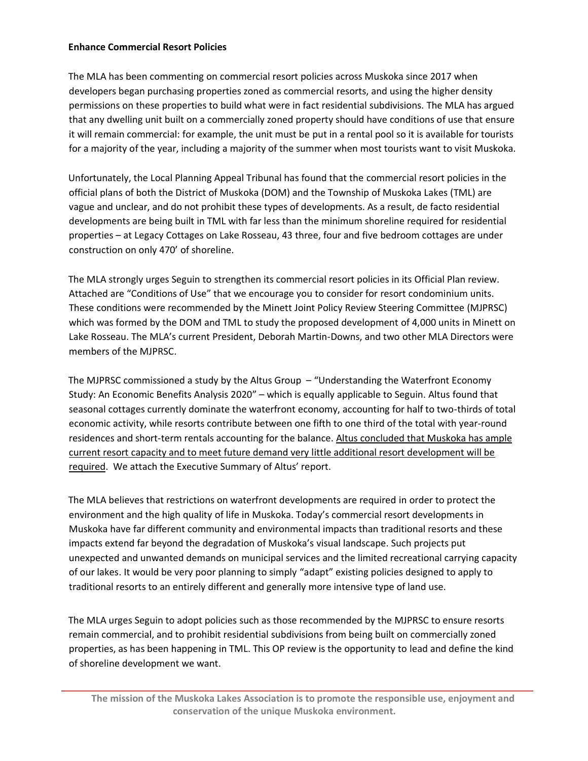### **Enhance Commercial Resort Policies**

The MLA has been commenting on commercial resort policies across Muskoka since 2017 when developers began purchasing properties zoned as commercial resorts, and using the higher density permissions on these properties to build what were in fact residential subdivisions. The MLA has argued that any dwelling unit built on a commercially zoned property should have conditions of use that ensure it will remain commercial: for example, the unit must be put in a rental pool so it is available for tourists for a majority of the year, including a majority of the summer when most tourists want to visit Muskoka.

Unfortunately, the Local Planning Appeal Tribunal has found that the commercial resort policies in the official plans of both the District of Muskoka (DOM) and the Township of Muskoka Lakes (TML) are vague and unclear, and do not prohibit these types of developments. As a result, de facto residential developments are being built in TML with far less than the minimum shoreline required for residential properties – at Legacy Cottages on Lake Rosseau, 43 three, four and five bedroom cottages are under construction on only 470' of shoreline.

The MLA strongly urges Seguin to strengthen its commercial resort policies in its Official Plan review. Attached are "Conditions of Use" that we encourage you to consider for resort condominium units. These conditions were recommended by the Minett Joint Policy Review Steering Committee (MJPRSC) which was formed by the DOM and TML to study the proposed development of 4,000 units in Minett on Lake Rosseau. The MLA's current President, Deborah Martin-Downs, and two other MLA Directors were members of the MJPRSC.

The MJPRSC commissioned a study by the Altus Group – "Understanding the Waterfront Economy Study: An Economic Benefits Analysis 2020" – which is equally applicable to Seguin. Altus found that seasonal cottages currently dominate the waterfront economy, accounting for half to two-thirds of total economic activity, while resorts contribute between one fifth to one third of the total with year-round residences and short-term rentals accounting for the balance. Altus concluded that Muskoka has ample current resort capacity and to meet future demand very little additional resort development will be required. We attach the Executive Summary of Altus' report.

The MLA believes that restrictions on waterfront developments are required in order to protect the environment and the high quality of life in Muskoka. Today's commercial resort developments in Muskoka have far different community and environmental impacts than traditional resorts and these impacts extend far beyond the degradation of Muskoka's visual landscape. Such projects put unexpected and unwanted demands on municipal services and the limited recreational carrying capacity of our lakes. It would be very poor planning to simply "adapt" existing policies designed to apply to traditional resorts to an entirely different and generally more intensive type of land use.

The MLA urges Seguin to adopt policies such as those recommended by the MJPRSC to ensure resorts remain commercial, and to prohibit residential subdivisions from being built on commercially zoned properties, as has been happening in TML. This OP review is the opportunity to lead and define the kind of shoreline development we want.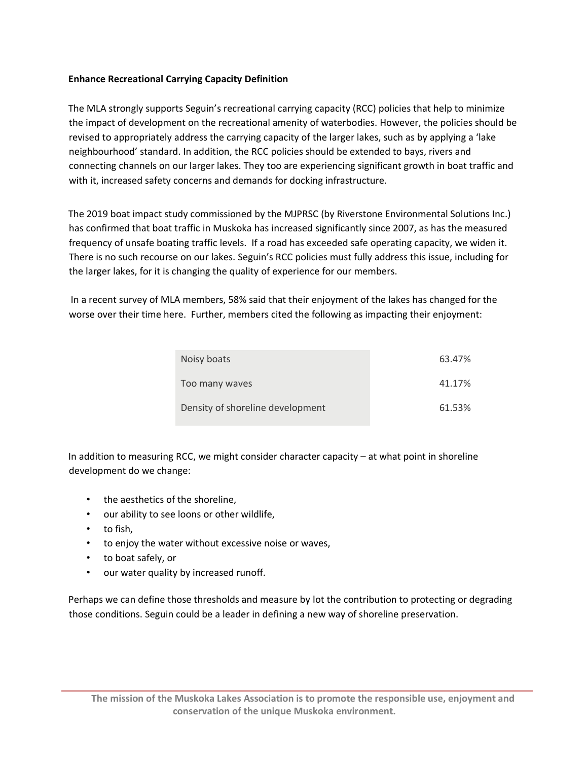# **Enhance Recreational Carrying Capacity Definition**

The MLA strongly supports Seguin's recreational carrying capacity (RCC) policies that help to minimize the impact of development on the recreational amenity of waterbodies. However, the policies should be revised to appropriately address the carrying capacity of the larger lakes, such as by applying a 'lake neighbourhood' standard. In addition, the RCC policies should be extended to bays, rivers and connecting channels on our larger lakes. They too are experiencing significant growth in boat traffic and with it, increased safety concerns and demands for docking infrastructure.

The 2019 boat impact study commissioned by the MJPRSC (by Riverstone Environmental Solutions Inc.) has confirmed that boat traffic in Muskoka has increased significantly since 2007, as has the measured frequency of unsafe boating traffic levels. If a road has exceeded safe operating capacity, we widen it. There is no such recourse on our lakes. Seguin's RCC policies must fully address this issue, including for the larger lakes, for it is changing the quality of experience for our members.

In a recent survey of MLA members, 58% said that their enjoyment of the lakes has changed for the worse over their time here. Further, members cited the following as impacting their enjoyment:

| Noisy boats                      | 63.47% |
|----------------------------------|--------|
| Too many waves                   | 41.17% |
| Density of shoreline development | 61.53% |

In addition to measuring RCC, we might consider character capacity – at what point in shoreline development do we change:

- the aesthetics of the shoreline,
- our ability to see loons or other wildlife,
- to fish,
- to enjoy the water without excessive noise or waves,
- to boat safely, or
- our water quality by increased runoff.

Perhaps we can define those thresholds and measure by lot the contribution to protecting or degrading those conditions. Seguin could be a leader in defining a new way of shoreline preservation.